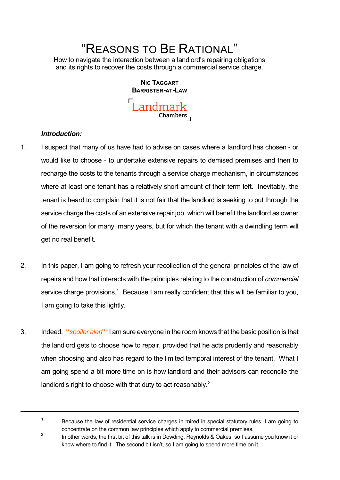# "REASONS TO BE RATIONAL"

How to navigate the interaction between a landlord's repairing obligations and its rights to recover the costs through a commercial service charge.

> **NIC TAGGART BARRISTER-AT-LAW** Landmark Chambers

## *Introduction:*

1

- 1. I suspect that many of us have had to advise on cases where a landlord has chosen or would like to choose - to undertake extensive repairs to demised premises and then to recharge the costs to the tenants through a service charge mechanism, in circumstances where at least one tenant has a relatively short amount of their term left. Inevitably, the tenant is heard to complain that it is not fair that the landlord is seeking to put through the service charge the costs of an extensive repair job, which will benefit the landlord as owner of the reversion for many, many years, but for which the tenant with a dwindling term will get no real benefit.
- 2. In this paper, I am going to refresh your recollection of the general principles of the law of repairs and how that interacts with the principles relating to the construction of *commercial* service charge provisions.<sup>1</sup> Because I am really confident that this will be familiar to you, I am going to take this lightly.
- 3. Indeed,*\*\*spoiler alert\*\**I am sure everyone in the room knows that the basic position is that the landlord gets to choose how to repair, provided that he acts prudently and reasonably when choosing and also has regard to the limited temporal interest of the tenant. What I am going spend a bit more time on is how landlord and their advisors can reconcile the landlord's right to choose with that duty to act reasonably.<sup>2</sup>

2 In other words, the first bit of this talk is in Dowding, Reynolds & Oakes, so I assume you know it or know where to find it. The second bit isn't, so I am going to spend more time on it.

Because the law of residential service charges in mired in special statutory rules, I am going to concentrate on the common law principles which apply to commercial premises.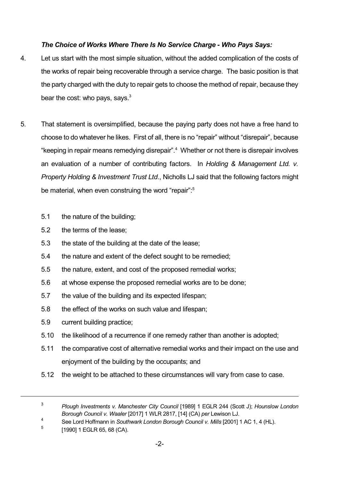# *The Choice of Works Where There Is No Service Charge - Who Pays Says:*

- 4. Let us start with the most simple situation, without the added complication of the costs of the works of repair being recoverable through a service charge. The basic position is that the party charged with the duty to repair gets to choose the method of repair, because they bear the cost: who pays, says.<sup>3</sup>
- 5. That statement is oversimplified, because the paying party does not have a free hand to choose to do whatever he likes. First of all, there is no "repair" without "disrepair", because "keeping in repair means remedying disrepair". <sup>4</sup> Whether or not there is disrepair involves an evaluation of a number of contributing factors. In *Holding & Management Ltd. v. Property Holding & Investment Trust Ltd*., Nicholls LJ said that the following factors might be material, when even construing the word "repair":<sup>5</sup>
	- 5.1 the nature of the building;
	- 5.2 the terms of the lease;
	- 5.3 the state of the building at the date of the lease;
	- 5.4 the nature and extent of the defect sought to be remedied;
	- 5.5 the nature, extent, and cost of the proposed remedial works;
	- 5.6 at whose expense the proposed remedial works are to be done;
	- 5.7 the value of the building and its expected lifespan;
	- 5.8 the effect of the works on such value and lifespan;
	- 5.9 current building practice;
	- 5.10 the likelihood of a recurrence if one remedy rather than another is adopted;
	- 5.11 the comparative cost of alternative remedial works and their impact on the use and enjoyment of the building by the occupants; and
	- 5.12 the weight to be attached to these circumstances will vary from case to case.

5 [1990] 1 EGLR 65, 68 (CA).

<sup>3</sup> *Plough Investments v. Manchester City Council* [1989] 1 EGLR 244 (Scott J); *Hounslow London Borough Council v. Waaler* [2017] 1 WLR 2817, [14] (CA) *per* Lewison LJ.

<sup>4</sup> See Lord Hoffmann in *Southwark London Borough Council v. Mills* [2001] 1 AC 1, 4 (HL).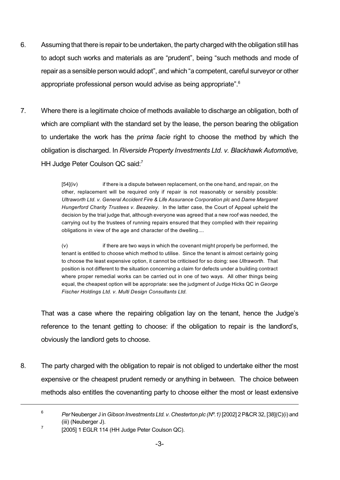- 6. Assuming that there is repair to be undertaken, the party charged with the obligation still has to adopt such works and materials as are "prudent", being "such methods and mode of repair as a sensible person would adopt", and which "a competent, careful surveyor or other appropriate professional person would advise as being appropriate".<sup>6</sup>
- 7. Where there is a legitimate choice of methods available to discharge an obligation, both of which are compliant with the standard set by the lease, the person bearing the obligation to undertake the work has the *prima facie* right to choose the method by which the obligation is discharged. In *Riverside Property Investments Ltd. v. Blackhawk Automotive,* HH Judge Peter Coulson QC said:<sup>7</sup>

[54](iv) if there is a dispute between replacement, on the one hand, and repair, on the other, replacement will be required only if repair is not reasonably or sensibly possible: *Ultraworth Ltd. v. General Accident Fire & Life Assurance Corporation plc* and *Dame Margaret Hungerford Charity Trustees v. Beazeley*. In the latter case, the Court of Appeal upheld the decision by the trial judge that, although everyone was agreed that a new roof was needed, the carrying out by the trustees of running repairs ensured that they complied with their repairing obligations in view of the age and character of the dwelling....

(v) if there are two ways in which the covenant might properly be performed, the tenant is entitled to choose which method to utilise. Since the tenant is almost certainly going to choose the least expensive option, it cannot be criticised for so doing: see *Ultraworth*. That position is not different to the situation concerning a claim for defects under a building contract where proper remedial works can be carried out in one of two ways. All other things being equal, the cheapest option will be appropriate: see the judgment of Judge Hicks QC in *George Fischer Holdings Ltd. v. Multi Design Consultants Ltd.*

That was a case where the repairing obligation lay on the tenant, hence the Judge's reference to the tenant getting to choose: if the obligation to repair is the landlord's, obviously the landlord gets to choose.

8. The party charged with the obligation to repair is not obliged to undertake either the most expensive or the cheapest prudent remedy or anything in between. The choice between methods also entitles the covenanting party to choose either the most or least extensive

<sup>6</sup> *Per* Neuberger J in*Gibson Investments Ltd. v. Chesterton plc (Nº.1)* [2002] 2P&CR 32, [38](C)(i) and (iii) (Neuberger J).

<sup>7</sup> [2005] 1 EGLR 114 (HH Judge Peter Coulson QC).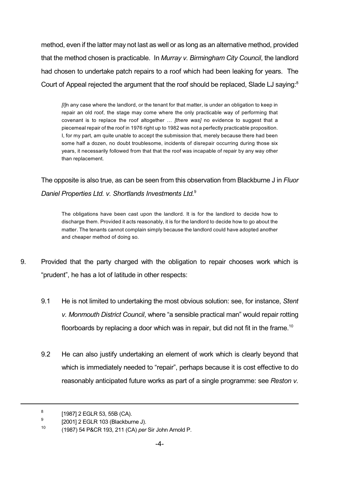method, even if the latter may not last as well or as long as an alternative method, provided that the method chosen is practicable. In *Murray v. Birmingham City Council*, the landlord had chosen to undertake patch repairs to a roof which had been leaking for years. The Court of Appeal rejected the argument that the roof should be replaced, Slade LJ saying:<sup>8</sup>

*[I]*n any case where the landlord, or the tenant for that matter, is under an obligation to keep in repair an old roof, the stage may come where the only practicable way of performing that covenant is to replace the roof altogether … *[there was]* no evidence to suggest that a piecemeal repair of the roof in 1976 right up to 1982 was not a perfectly practicable proposition. I, for my part, am quite unable to accept the submission that, merely because there had been some half a dozen, no doubt troublesome, incidents of disrepair occurring during those six years, it necessarily followed from that that the roof was incapable of repair by any way other than replacement.

The opposite is also true, as can be seen from this observation from Blackburne J in *Fluor Daniel Properties Ltd. v. Shortlands Investments Ltd.* 9

The obligations have been cast upon the landlord. It is for the landlord to decide how to discharge them. Provided it acts reasonably, it is for the landlord to decide how to go about the matter. The tenants cannot complain simply because the landlord could have adopted another and cheaper method of doing so.

- 9. Provided that the party charged with the obligation to repair chooses work which is "prudent", he has a lot of latitude in other respects:
	- 9.1 He is not limited to undertaking the most obvious solution: see, for instance, *Stent v. Monmouth District Council*, where "a sensible practical man" would repair rotting floorboards by replacing a door which was in repair, but did not fit in the frame.<sup>10</sup>
	- 9.2 He can also justify undertaking an element of work which is clearly beyond that which is immediately needed to "repair", perhaps because it is cost effective to do reasonably anticipated future works as part of a single programme: see *Reston v.*

<sup>8</sup> [1987] 2 EGLR 53, 55B (CA).

<sup>9</sup> [2001] 2 EGLR 103 (Blackburne J).

<sup>10</sup> (1987) 54 P&CR 193, 211 (CA) *per* Sir John Arnold P.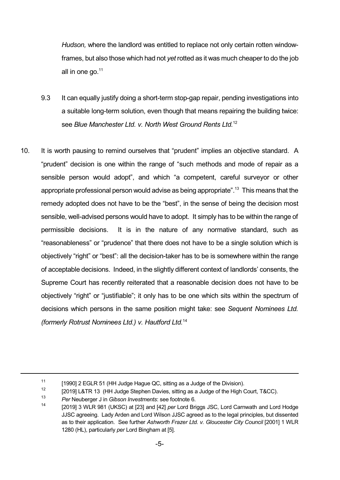*Hudson,* where the landlord was entitled to replace not only certain rotten windowframes, but also those which had not *yet* rotted as it was much cheaper to do the job all in one go.<sup>11</sup>

- 9.3 It can equally justify doing a short-term stop-gap repair, pending investigations into a suitable long-term solution, even though that means repairing the building twice: see *Blue Manchester Ltd. v. North West Ground Rents Ltd.* 12
- 10. It is worth pausing to remind ourselves that "prudent" implies an objective standard. A "prudent" decision is one within the range of "such methods and mode of repair as a sensible person would adopt", and which "a competent, careful surveyor or other appropriate professional person would advise as being appropriate". <sup>13</sup> This means that the remedy adopted does not have to be the "best", in the sense of being the decision most sensible, well-advised persons would have to adopt. It simply has to be within the range of permissible decisions. It is in the nature of any normative standard, such as "reasonableness" or "prudence" that there does not have to be a single solution which is objectively "right" or "best": all the decision-taker has to be is somewhere within the range of acceptable decisions. Indeed, in the slightly different context of landlords' consents, the Supreme Court has recently reiterated that a reasonable decision does not have to be objectively "right" or "justifiable"; it only has to be one which sits within the spectrum of decisions which persons in the same position might take: see *Sequent Nominees Ltd. (formerly Rotrust Nominees Ltd.) v. Hautford Ltd.* 14

<sup>11</sup> [1990] 2 EGLR 51 (HH Judge Hague QC, sitting as a Judge of the Division).

<sup>12</sup> [2019] L&TR 13 (HH Judge Stephen Davies, sitting as a Judge of the High Court, T&CC).

<sup>13</sup> *Per* Neuberger J in *Gibson Investments*: see footnote 6.

<sup>14</sup> [2019] 3 WLR 981 (UKSC) at [23] and [42] *per* Lord Briggs JSC, Lord Carnwath and Lord Hodge JJSC agreeing. Lady Arden and Lord Wilson JJSC agreed as to the legal principles, but dissented as to their application. See further *Ashworth Frazer Ltd. v. Gloucester City Council* [2001] 1 WLR 1280 (HL), particularly *per* Lord Bingham at [5].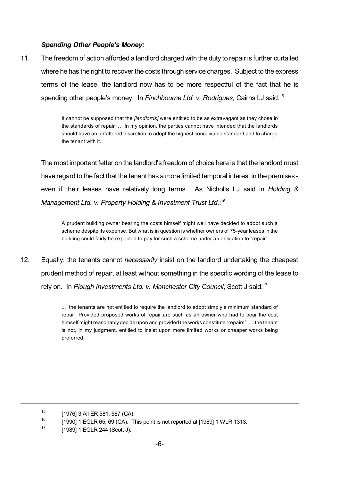## *Spending Other People's Money:*

11. The freedom of action afforded a landlord charged with the duty to repair is further curtailed where he has the right to recover the costs through service charges. Subject to the express terms of the lease, the landlord now has to be more respectful of the fact that he is spending other people's money. In *Finchbourne Ltd. v. Rodrigues*, Cairns LJ said: 15

> It cannot be supposed that the *[landlords]* were entitled to be as extravagant as they chose in the standards of repair … In my opinion, the parties cannot have intended that the landlords should have an unfettered discretion to adopt the highest conceivable standard and to charge the tenant with it.

The most important fetter on the landlord's freedom of choice here is that the landlord must have regard to the fact that the tenant has a more limited temporal interest in the premises even if their leases have relatively long terms. As Nicholls LJ said in *Holding & Management Ltd. v. Property Holding & Investment Trust Ltd*.: 16

A prudent building owner bearing the costs himself might well have decided to adopt such a scheme despite its expense. But what is in question is whether owners of 75-year leases in the building could fairly be expected to pay for such a scheme under an obligation to "repair".

12. Equally, the tenants cannot *necessarily* insist on the landlord undertaking the cheapest prudent method of repair, at least without something in the specific wording of the lease to rely on. In *Plough Investments Ltd. v. Manchester City Council*, Scott J said: 17

> ... the tenants are not entitled to require the landlord to adopt simply a minimum standard of repair. Provided proposed works of repair are such as an owner who had to bear the cost himself might reasonably decide upon and provided the works constitute "repairs". ... the tenant is not, in my judgment, entitled to insist upon more limited works or cheaper works being preferred.

<sup>15</sup> [1976] 3 All ER 581, 587 (CA).

<sup>16</sup> [1990] 1 EGLR 65, 69 (CA). This point is not reported at [1989] 1 WLR 1313.

<sup>17</sup> [1989] 1 EGLR 244 (Scott J).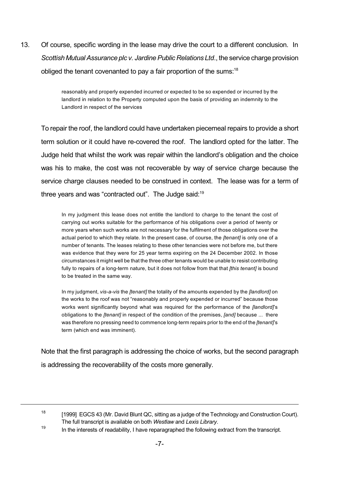13. Of course, specific wording in the lease may drive the court to a different conclusion. In *Scottish Mutual Assurance plc v. Jardine Public Relations Ltd., the service charge provision* obliged the tenant covenanted to pay a fair proportion of the sums:<sup>18</sup>

> reasonably and properly expended incurred or expected to be so expended or incurred by the landlord in relation to the Property computed upon the basis of providing an indemnity to the Landlord in respect of the services

To repair the roof, the landlord could have undertaken piecemeal repairs to provide a short term solution or it could have re-covered the roof. The landlord opted for the latter. The Judge held that whilst the work was repair within the landlord's obligation and the choice was his to make, the cost was not recoverable by way of service charge because the service charge clauses needed to be construed in context. The lease was for a term of three years and was "contracted out". The Judge said:<sup>19</sup>

In my judgment this lease does not entitle the landlord to charge to the tenant the cost of carrying out works suitable for the performance of his obligations over a period of twenty or more years when such works are not necessary for the fulfilment of those obligations over the actual period to which they relate. In the present case, of course, the *[tenant]* is only one of a number of tenants. The leases relating to these other tenancies were not before me, but there was evidence that they were for 25 year terms expiring on the 24 December 2002. In those circumstances it might well be that the three other tenants would be unable to resist contributing fully to repairs of a long-term nature, but it does not follow from that that *[this tenant]* is bound to be treated in the same way.

In my judgment, *vis-a-vis* the *[tenant]* the totality of the amounts expended by the *[landlord]* on the works to the roof was not "reasonably and properly expended or incurred" because those works went significantly beyond what was required for the performance of the *[landlord]*'s obligations to the *[tenant]* in respect of the condition of the premises, *[and]* because ... there was therefore no pressing need to commence long-term repairs prior to the end of the *[tenant]*'s term (which end was imminent).

Note that the first paragraph is addressing the choice of works, but the second paragraph is addressing the recoverability of the costs more generally.

<sup>18</sup> [1999] EGCS 43 (Mr. David Blunt QC, sitting as a judge of the Technology and Construction Court). The full transcript is available on both *Westlaw* and *Lexis Library*.

<sup>19</sup> In the interests of readability, I have reparagraphed the following extract from the transcript.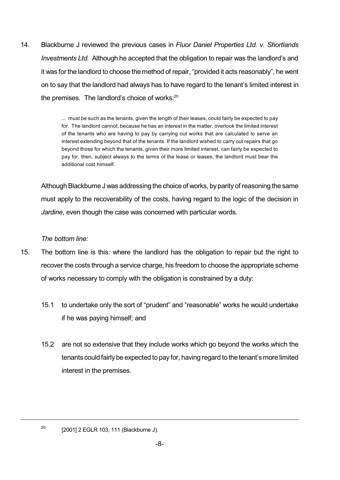14. Blackburne J reviewed the previous cases in *Fluor Daniel Properties Ltd. v. Shortlands Investments Ltd.* Although he accepted that the obligation to repair was the landlord's and it was for the landlord to choose the method of repair, "provided it acts reasonably", he went on to say that the landlord had always has to have regard to the tenant's limited interest in the premises. The landlord's choice of works:<sup>20</sup>

> ... must be such as the tenants, given the length of their leases, could fairly be expected to pay for. The landlord cannot, because he has an interest in the matter, overlook the limited interest of the tenants who are having to pay by carrying out works that are calculated to serve an interest extending beyond that of the tenants. If the landlord wished to carry out repairs that go beyond those for which the tenants, given their more limited interest, can fairly be expected to pay for, then, subject always to the terms of the lease or leases, the landlord must bear the additional cost himself.

Although Blackburne J was addressing the choice of works, by parity of reasoning the same must apply to the recoverability of the costs, having regard to the logic of the decision in *Jardine*, even though the case was concerned with particular words.

## *The bottom line:*

- 15. The bottom line is this: where the landlord has the obligation to repair but the right to recover the costs through a service charge, his freedom to choose the appropriate scheme of works necessary to comply with the obligation is constrained by a duty:
	- 15.1 to undertake only the sort of "prudent" and "reasonable" works he would undertake if he was paying himself; and
	- 15.2 are not so extensive that they include works which go beyond the works which the tenants could fairly be expected to pay for, having regard to the tenant's more limited interest in the premises.

<sup>20</sup> [2001] 2 EGLR 103, 111 (Blackburne J).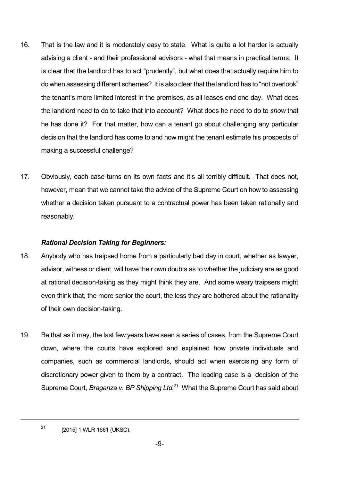- 16. That is the law and it is moderately easy to state. What is quite a lot harder is actually advising a client - and their professional advisors - what that means in practical terms. It is clear that the landlord has to act "prudently", but what does that actually require him to do when assessing different schemes? It is also clear that the landlord has to "not overlook" the tenant's more limited interest in the premises, as all leases end one day. What does the landlord need to do to take that into account? What does he need to do to *show* that he has done it? For that matter, how can a tenant go about challenging any particular decision that the landlord has come to and how might the tenant estimate his prospects of making a successful challenge?
- 17. Obviously, each case turns on its own facts and it's all terribly difficult. That does not, however, mean that we cannot take the advice of the Supreme Court on how to assessing whether a decision taken pursuant to a contractual power has been taken rationally and reasonably.

## *Rational Decision Taking for Beginners:*

- 18. Anybody who has traipsed home from a particularly bad day in court, whether as lawyer, advisor, witness or client, will have their own doubts as to whether the judiciary are as good at rational decision-taking as they might think they are. And some weary traipsers might even think that, the more senior the court, the less they are bothered about the rationality of their own decision-taking.
- 19. Be that as it may, the last few years have seen a series of cases, from the Supreme Court down, where the courts have explored and explained how private individuals and companies, such as commercial landlords, should act when exercising any form of discretionary power given to them by a contract. The leading case is a decision of the Supreme Court, *Braganza v. BP Shipping Ltd.* <sup>21</sup> What the Supreme Court has said about

21 [2015] 1 WLR 1661 (UKSC).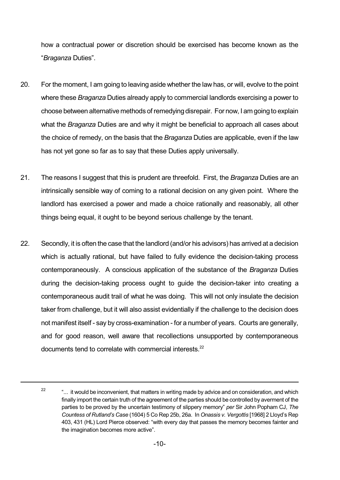how a contractual power or discretion should be exercised has become known as the "*Braganza* Duties".

- 20. For the moment, I am going to leaving aside whether the law has, or will, evolve to the point where these *Braganza* Duties already apply to commercial landlords exercising a power to choose between alternative methods of remedying disrepair. For now, I am going to explain what the *Braganza* Duties are and why it might be beneficial to approach all cases about the choice of remedy, on the basis that the *Braganza* Duties are applicable, even if the law has not yet gone so far as to say that these Duties apply universally.
- 21. The reasons I suggest that this is prudent are threefold. First, the *Braganza* Duties are an intrinsically sensible way of coming to a rational decision on any given point. Where the landlord has exercised a power and made a choice rationally and reasonably, all other things being equal, it ought to be beyond serious challenge by the tenant.
- 22. Secondly, it is often the case that the landlord (and/or his advisors) has arrived at a decision which is actually rational, but have failed to fully evidence the decision-taking process contemporaneously. A conscious application of the substance of the *Braganza* Duties during the decision-taking process ought to guide the decision-taker into creating a contemporaneous audit trail of what he was doing. This will not only insulate the decision taker from challenge, but it will also assist evidentially if the challenge to the decision does not manifest itself - say by cross-examination - for a number of years. Courts are generally, and for good reason, well aware that recollections unsupported by contemporaneous documents tend to correlate with commercial interests.<sup>22</sup>

<sup>22</sup> "... it would be inconvenient, that matters in writing made by advice and on consideration, and which finally import the certain truth of the agreement of the parties should be controlled by averment of the parties to be proved by the uncertain testimony of slippery memory" *per* Sir John Popham CJ, *The Countess of Rutland's Case* (1604) 5 Co Rep 25b, 26a. In *Onassis v. Vergottis* [1968] 2 Lloyd's Rep 403, 431 (HL) Lord Pierce observed: "with every day that passes the memory becomes fainter and the imagination becomes more active".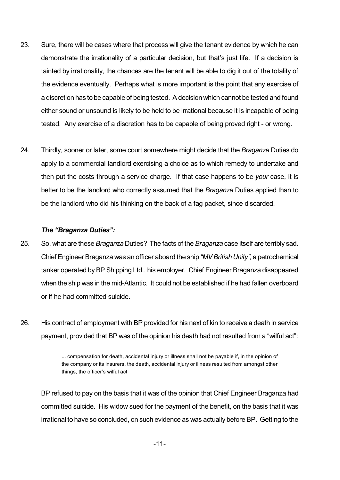- 23. Sure, there will be cases where that process will give the tenant evidence by which he can demonstrate the irrationality of a particular decision, but that's just life. If a decision is tainted by irrationality, the chances are the tenant will be able to dig it out of the totality of the evidence eventually. Perhaps what is more important is the point that any exercise of a discretion has to be capable of being tested. Adecision which cannot be tested and found either sound or unsound is likely to be held to be irrational because it is incapable of being tested. Any exercise of a discretion has to be capable of being proved right - or wrong.
- 24. Thirdly, sooner or later, some court somewhere might decide that the *Braganza* Duties do apply to a commercial landlord exercising a choice as to which remedy to undertake and then put the costs through a service charge. If that case happens to be *your* case, it is better to be the landlord who correctly assumed that the *Braganza* Duties applied than to be the landlord who did his thinking on the back of a fag packet, since discarded.

#### *The "Braganza Duties":*

- 25. So, what are these *Braganza* Duties? The facts of the *Braganza* case itself are terribly sad. Chief Engineer Braganza was an officer aboard the ship *"MVBritish Unity",* a petrochemical tanker operated by BP Shipping Ltd., his employer. Chief Engineer Braganza disappeared when the ship was in the mid-Atlantic. It could not be established if he had fallen overboard or if he had committed suicide.
- 26. His contract of employment with BP provided for his next of kin to receive a death in service payment, provided that BP was of the opinion his death had not resulted from a "wilful act":

BP refused to pay on the basis that it was of the opinion that Chief Engineer Braganza had committed suicide. His widow sued for the payment of the benefit, on the basis that it was irrational to have so concluded, on such evidence as was actually before BP. Getting to the

<sup>...</sup> compensation for death, accidental injury or illness shall not be payable if, in the opinion of the company or its insurers, the death, accidental injury or illness resulted from amongst other things, the officer's wilful act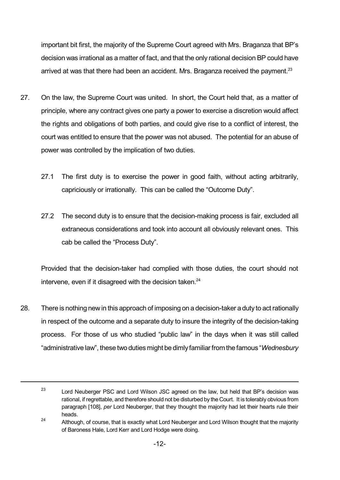important bit first, the majority of the Supreme Court agreed with Mrs. Braganza that BP's decision was irrational as a matter of fact, and that the only rational decision BP could have arrived at was that there had been an accident. Mrs. Braganza received the payment.<sup>23</sup>

- 27. On the law, the Supreme Court was united. In short, the Court held that, as a matter of principle, where any contract gives one party a power to exercise a discretion would affect the rights and obligations of both parties, and could give rise to a conflict of interest, the court was entitled to ensure that the power was not abused. The potential for an abuse of power was controlled by the implication of two duties.
	- 27.1 The first duty is to exercise the power in good faith, without acting arbitrarily, capriciously or irrationally. This can be called the "Outcome Duty".
	- 27.2 The second duty is to ensure that the decision-making process is fair, excluded all extraneous considerations and took into account all obviously relevant ones. This cab be called the "Process Duty".

Provided that the decision-taker had complied with those duties, the court should not intervene, even if it disagreed with the decision taken.<sup>24</sup>

28. There is nothing newin this approach of imposing on a decision-taker a duty to act rationally in respect of the outcome and a separate duty to insure the integrity of the decision-taking process. For those of us who studied "public law" in the days when it was still called "administrative law", these two duties might bedimly familiarfrom the famous "*Wednesbury*

<sup>23</sup> Lord Neuberger PSC and Lord Wilson JSC agreed on the law, but held that BP's decision was rational, if regrettable, and therefore should not be disturbed by the Court. It is tolerably obvious from paragraph [108], *per* Lord Neuberger, that they thought the majority had let their hearts rule their heads.

<sup>24</sup> Although, of course, that is exactly what Lord Neuberger and Lord Wilson thought that the majority of Baroness Hale, Lord Kerr and Lord Hodge were doing.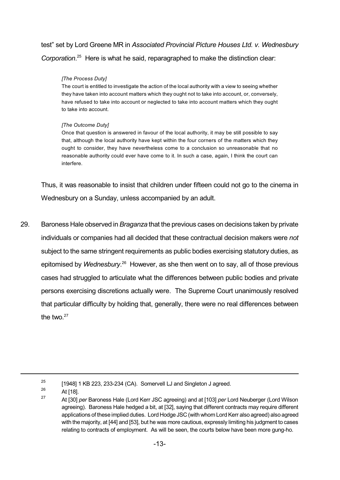test" set by Lord Greene MR in *Associated Provincial Picture Houses Ltd. v. Wednesbury Corporation*. <sup>25</sup> Here is what he said, reparagraphed to make the distinction clear:

### *[The Process Duty]*

The court is entitled to investigate the action of the local authority with a view to seeing whether they have taken into account matters which they ought not to take into account, or, conversely, have refused to take into account or neglected to take into account matters which they ought to take into account.

## *[The Outcome Duty]*

Once that question is answered in favour of the local authority, it may be still possible to say that, although the local authority have kept within the four corners of the matters which they ought to consider, they have nevertheless come to a conclusion so unreasonable that no reasonable authority could ever have come to it. In such a case, again, I think the court can interfere.

Thus, it was reasonable to insist that children under fifteen could not go to the cinema in Wednesbury on a Sunday, unless accompanied by an adult.

29. Baroness Hale observed in *Braganza* that the previous cases on decisions taken by private individuals or companies had all decided that these contractual decision makers were *not* subject to the same stringent requirements as public bodies exercising statutory duties, as epitomised by Wednesbury.<sup>26</sup> However, as she then went on to say, all of those previous cases had struggled to articulate what the differences between public bodies and private persons exercising discretions actually were. The Supreme Court unanimously resolved that particular difficulty by holding that, generally, there were no real differences between the two. $27$ 

<sup>25</sup> [1948] 1 KB 223, 233-234 (CA). Somervell LJ and Singleton J agreed.

<sup>26</sup> At [18]. 27

At [30] *per* Baroness Hale (Lord Kerr JSC agreeing) and at [103] *per* Lord Neuberger (Lord Wilson agreeing). Baroness Hale hedged a bit, at [32], saying that different contracts may require different applications of these implied duties. Lord Hodge JSC (with whom Lord Kerr also agreed) also agreed with the majority, at [44] and [53], but he was more cautious, expressly limiting his judgment to cases relating to contracts of employment. As will be seen, the courts below have been more gung-ho.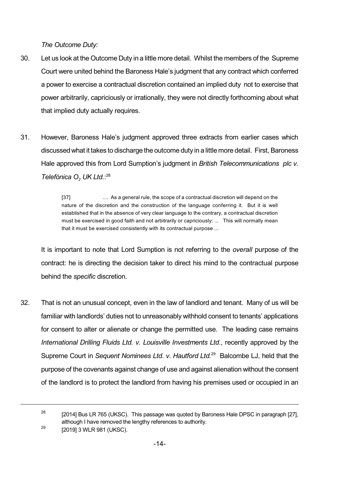*The Outcome Duty:*

- 30. Let us look at the Outcome Duty in a little more detail. Whilst the members of the Supreme Court were united behind the Baroness Hale's judgment that any contract which conferred a power to exercise a contractual discretion contained an implied duty not to exercise that power arbitrarily, capriciously or irrationally, they were not directly forthcoming about what that implied duty actually requires.
- 31. However, Baroness Hale's judgment approved three extracts from earlier cases which discussed what it takes to discharge the outcome duty in a little more detail. First, Baroness Hale approved this from Lord Sumption's judgment in *British Telecommunications plc v. Telefónica O<sup>2</sup> UK Ltd.*: 28

[37] .... As a general rule, the scope of a contractual discretion will depend on the nature of the discretion and the construction of the language conferring it. But it is well established that in the absence of very clear language to the contrary, a contractual discretion must be exercised in good faith and not arbitrarily or capriciously: ... This will normally mean that it must be exercised consistently with its contractual purpose ...

It is important to note that Lord Sumption is not referring to the *overall* purpose of the contract: he is directing the decision taker to direct his mind to the contractual purpose behind the *specific* discretion.

32. That is not an unusual concept, even in the law of landlord and tenant. Many of us will be familiar with landlords' duties not to unreasonably withhold consent to tenants' applications for consent to alter or alienate or change the permitted use. The leading case remains *International Drilling Fluids Ltd. v. Louisville Investments Ltd.*, recently approved by the Supreme Court in *Sequent Nominees Ltd. v. Hautford Ltd.* <sup>29</sup> Balcombe LJ, held that the purpose of the covenants against change of use and against alienation without the consent of the landlord is to protect the landlord from having his premises used or occupied in an

<sup>28</sup> [2014] Bus LR 765 (UKSC). This passage was quoted by Baroness Hale DPSC in paragraph [27], although I have removed the lengthy references to authority. 29

<sup>[2019]</sup> 3 WLR 981 (UKSC).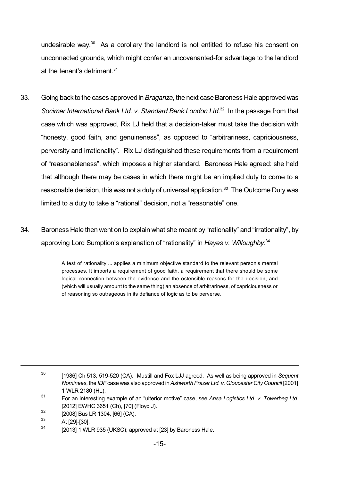undesirable way.<sup>30</sup> As a corollary the landlord is not entitled to refuse his consent on unconnected grounds, which might confer an uncovenanted-for advantage to the landlord at the tenant's detriment. 31

- 33. Going back to the cases approved in*Braganza*, the next caseBaroness Hale approved was *Socimer International Bank Ltd. v. Standard Bank London Ltd*. <sup>32</sup> In the passage from that case which was approved, Rix LJ held that a decision-taker must take the decision with "honesty, good faith, and genuineness", as opposed to "arbitrariness, capriciousness, perversity and irrationality". Rix LJ distinguished these requirements from a requirement of "reasonableness", which imposes a higher standard. Baroness Hale agreed: she held that although there may be cases in which there might be an implied duty to come to a reasonable decision, this was not a duty of universal application.<sup>33</sup> The Outcome Duty was limited to a duty to take a "rational" decision, not a "reasonable" one.
- 34. Baroness Hale then went on to explain what she meant by "rationality" and "irrationality", by approving Lord Sumption's explanation of "rationality" in *Hayes v. Willoughby*: 34

A test of rationality ... applies a minimum objective standard to the relevant person's mental processes. It imports a requirement of good faith, a requirement that there should be some logical connection between the evidence and the ostensible reasons for the decision, and (which will usually amount to the same thing) an absence of arbitrariness, of capriciousness or of reasoning so outrageous in its defiance of logic as to be perverse.

32 [2008] Bus LR 1304, [66] (CA).

<sup>30</sup> [1986] Ch 513, 519-520 (CA). Mustill and Fox LJJ agreed. As well as being approved in *Sequent Nominees*, the *IDF* case was also approved in*Ashworth Frazer Ltd. v. Gloucester City Council* [2001] 1 WLR 2180 (HL).

<sup>31</sup> For an interesting example of an "ulterior motive" case, see *Ansa Logistics Ltd. v. Towerbeg Ltd.* [2012] EWHC 3651 (Ch), [70] (Floyd J).

<sup>33</sup> At [29]-[30].

<sup>34</sup> [2013] 1 WLR 935 (UKSC); approved at [23] by Baroness Hale.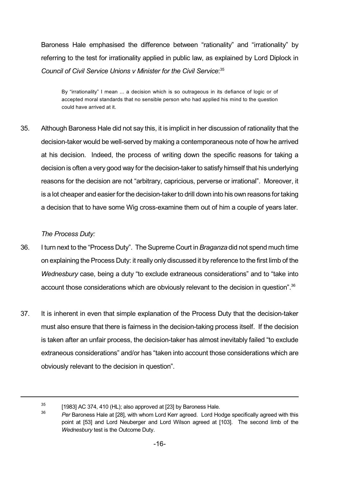Baroness Hale emphasised the difference between "rationality" and "irrationality" by referring to the test for irrationality applied in public law, as explained by Lord Diplock in *Council of Civil Service Unions v Minister for the Civil Service*: 35

By "irrationality" I mean ... a decision which is so outrageous in its defiance of logic or of accepted moral standards that no sensible person who had applied his mind to the question could have arrived at it.

35. Although Baroness Hale did not say this, it is implicit in her discussion of rationality that the decision-taker would be well-served by making a contemporaneous note of how he arrived at his decision. Indeed, the process of writing down the specific reasons for taking a decision is often a very good way for the decision-taker to satisfy himself that his underlying reasons for the decision are not "arbitrary, capricious, perverse or irrational". Moreover, it is a lot cheaper and easier for the decision-taker to drill down into his own reasons for taking a decision that to have some Wig cross-examine them out of him a couple of years later.

## *The Process Duty:*

- 36. I turn next to the "Process Duty". TheSupreme Court in*Braganza* did not spend much time on explaining the Process Duty: it really only discussed it by reference to the first limb of the *Wednesbury* case, being a duty "to exclude extraneous considerations" and to "take into account those considerations which are obviously relevant to the decision in question".<sup>36</sup>
- 37. It is inherent in even that simple explanation of the Process Duty that the decision-taker must also ensure that there is fairness in the decision-taking process itself. If the decision is taken after an unfair process, the decision-taker has almost inevitably failed "to exclude extraneous considerations" and/or has "taken into account those considerations which are obviously relevant to the decision in question".

<sup>35</sup> [1983] AC 374, 410 (HL); also approved at [23] by Baroness Hale.

<sup>36</sup> *Per* Baroness Hale at [28], with whom Lord Kerr agreed. Lord Hodge specifically agreed with this point at [53] and Lord Neuberger and Lord Wilson agreed at [103]. The second limb of the *Wednesbury* test is the Outcome Duty.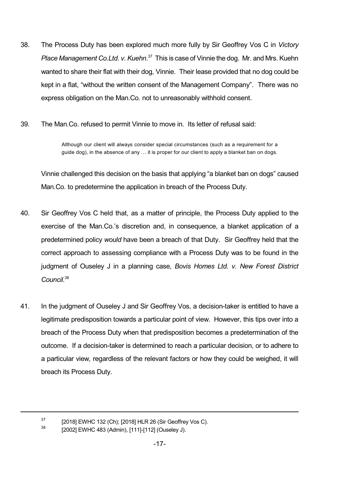- 38. The Process Duty has been explored much more fully by Sir Geoffrey Vos C in *Victory Place Management Co.Ltd. v. Kuehn*. <sup>37</sup> This is case of Vinnie the dog. Mr. and Mrs. Kuehn wanted to share their flat with their dog, Vinnie. Their lease provided that no dog could be kept in a flat, "without the written consent of the Management Company". There was no express obligation on the Man.Co. not to unreasonably withhold consent.
- 39. The Man.Co. refused to permit Vinnie to move in. Its letter of refusal said:

Although our client will always consider special circumstances (such as a requirement for a guide dog), in the absence of any … it is proper for our client to apply a blanket ban on dogs.

Vinnie challenged this decision on the basis that applying "a blanket ban on dogs" caused Man.Co. to predetermine the application in breach of the Process Duty.

- 40. Sir Geoffrey Vos C held that, as a matter of principle, the Process Duty applied to the exercise of the Man.Co.'s discretion and, in consequence, a blanket application of a predetermined policy *would* have been a breach of that Duty. Sir Geoffrey held that the correct approach to assessing compliance with a Process Duty was to be found in the judgment of Ouseley J in a planning case, *Bovis Homes Ltd. v. New Forest District Council*. 38
- 41. In the judgment of Ouseley J and Sir Geoffrey Vos, a decision-taker is entitled to have a legitimate predisposition towards a particular point of view. However, this tips over into a breach of the Process Duty when that predisposition becomes a predetermination of the outcome. If a decision-taker is determined to reach a particular decision, or to adhere to a particular view, regardless of the relevant factors or how they could be weighed, it will breach its Process Duty.

<sup>37</sup> [2018] EWHC 132 (Ch); [2018] HLR 26 (Sir Geoffrey Vos C).

<sup>38</sup> [2002] EWHC 483 (Admin), [111]-[112] (Ouseley J).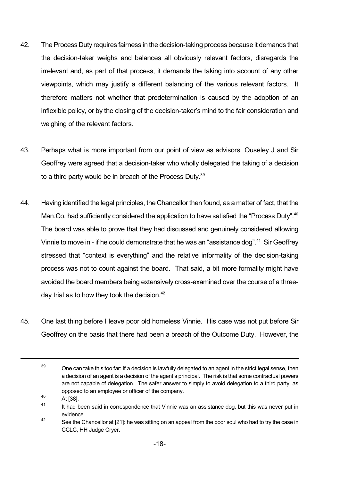- 42. The Process Duty requires fairness in the decision-taking process because it demands that the decision-taker weighs and balances all obviously relevant factors, disregards the irrelevant and, as part of that process, it demands the taking into account of any other viewpoints, which may justify a different balancing of the various relevant factors. It therefore matters not whether that predetermination is caused by the adoption of an inflexible policy, or by the closing of the decision-taker's mind to the fair consideration and weighing of the relevant factors.
- 43. Perhaps what is more important from our point of view as advisors, Ouseley J and Sir Geoffrey were agreed that a decision-taker who wholly delegated the taking of a decision to a third party would be in breach of the Process Duty.<sup>39</sup>
- 44. Having identified the legal principles, the Chancellor then found, as a matter of fact, that the Man.Co. had sufficiently considered the application to have satisfied the "Process Duty".<sup>40</sup> The board was able to prove that they had discussed and genuinely considered allowing Vinnie to move in - if he could demonstrate that he was an "assistance dog".<sup>41</sup> Sir Geoffrey stressed that "context is everything" and the relative informality of the decision-taking process was not to count against the board. That said, a bit more formality might have avoided the board members being extensively cross-examined over the course of a threeday trial as to how they took the decision.<sup>42</sup>
- 45. One last thing before I leave poor old homeless Vinnie. His case was not put before Sir Geoffrey on the basis that there had been a breach of the Outcome Duty. However, the

 $^{40}$  At [38].

 $39$  One can take this too far: if a decision is lawfully delegated to an agent in the strict legal sense, then a decision of an agent is a decision of the agent's principal. The risk is that some contractual powers are not capable of delegation. The safer answer to simply to avoid delegation to a third party, as opposed to an employee or officer of the company.

<sup>41</sup> It had been said in correspondence that Vinnie was an assistance dog, but this was never put in evidence.

<sup>42</sup> See the Chancellor at [21]: he was sitting on an appeal from the poor soul who had to try the case in CCLC, HH Judge Cryer.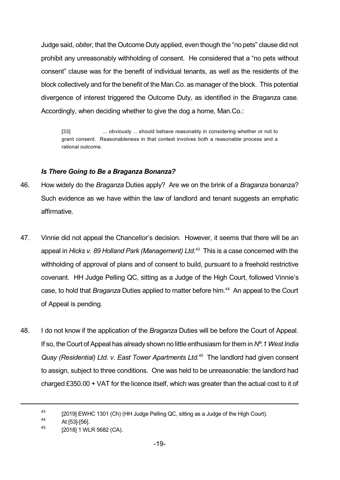Judge said, *obiter*, that the Outcome Duty applied, even though the "no pets" clause did not prohibit any unreasonably withholding of consent. He considered that a "no pets without consent" clause was for the benefit of individual tenants, as well as the residents of the block collectively and for the benefit of the Man.Co. as manager of the block. This potential divergence of interest triggered the Outcome Duty, as identified in the *Braganza* case. Accordingly, when deciding whether to give the dog a home, Man.Co.:

[33] ... obviously ... should behave reasonably in considering whether or not to grant consent. Reasonableness in that context involves both a reasonable process and a rational outcome.

## *Is There Going to Be a Braganza Bonanza?*

- 46. How widely do the *Braganza* Duties apply? Are we on the brink of a *Braganza* bonanza? Such evidence as we have within the law of landlord and tenant suggests an emphatic affirmative.
- 47. Vinnie did not appeal the Chancellor's decision. However, it seems that there will be an appeal in *Hicks v. 89 Holland Park (Management) Ltd.* <sup>43</sup> This is a case concerned with the withholding of approval of plans and of consent to build, pursuant to a freehold restrictive covenant. HH Judge Pelling QC, sitting as a Judge of the High Court, followed Vinnie's case, to hold that *Braganza* Duties applied to matter before him. <sup>44</sup> An appeal to the Court of Appeal is pending.
- 48. I do not know if the application of the *Braganza* Duties will be before the Court of Appeal. If so, the Court of Appeal has already shown no little enthusiasm for them in *Nº.1 West India Quay (Residential) Ltd. v. East Tower Apartments Ltd.* <sup>45</sup> The landlord had given consent to assign, subject to three conditions. One was held to be unreasonable: the landlord had charged £350.00 + VAT for the licence itself, which was greater than the actual cost to it of

<sup>43</sup> [2019] EWHC 1301 (Ch) (HH Judge Pelling QC, sitting as a Judge of the High Court).

<sup>44</sup> At [53]-[56].

<sup>45</sup> [2018] 1 WLR 5682 (CA).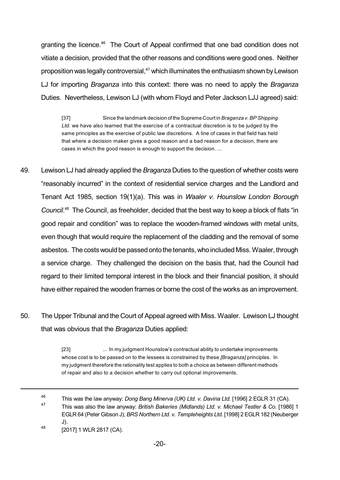granting the licence.<sup>46</sup> The Court of Appeal confirmed that one bad condition does not vitiate a decision, provided that the other reasons and conditions were good ones. Neither proposition was legally controversial,<sup>47</sup> which illuminates the enthusiasm shown by Lewison LJ for importing *Braganza* into this context: there was no need to apply the *Braganza* Duties. Nevertheless, Lewison LJ (with whom Floyd and Peter Jackson LJJ agreed) said:

[37] Since the landmark decision of the Supreme Court in *Braganza v. BP Shipping Ltd.* we have also learned that the exercise of a contractual discretion is to be judged by the same principles as the exercise of public law discretions. A line of cases in that field has held that where a decision maker gives a good reason and a bad reason for a decision, there are cases in which the good reason is enough to support the decision. ...

- 49. Lewison LJ had already applied the *Braganza* Duties to the question of whether costs were "reasonably incurred" in the context of residential service charges and the Landlord and Tenant Act 1985, section 19(1)(a). This was in *Waaler v. Hounslow London Borough Council*. <sup>48</sup> The Council, as freeholder, decided that the best way to keep a block of flats "in good repair and condition" was to replace the wooden-framed windows with metal units, even though that would require the replacement of the cladding and the removal of some asbestos. The costs would be passed onto the tenants, who included Miss. Waaler, through a service charge. They challenged the decision on the basis that, had the Council had regard to their limited temporal interest in the block and their financial position, it should have either repaired the wooden frames or borne the cost of the works as an improvement.
- 50. The Upper Tribunal and the Court of Appeal agreed with Miss. Waaler. Lewison LJ thought that was obvious that the *Braganza* Duties applied:

[23] ... In my judgment Hounslow's contractual ability to undertake improvements whose cost is to be passed on to the lessees is constrained by these *[Braganza]* principles. In my judgment therefore the rationality test applies to both a choice as between different methods of repair and also to a decision whether to carry out optional improvements.

<sup>46</sup> This was the law anyway: *Dong Bang Minerva (UK) Ltd. v. Davina Ltd.* [1996] 2 EGLR 31 (CA). 47 This was also the law anyway: *British Bakeries (Midlands) Ltd. v. Michael Testler & Co.* [1986] 1 EGLR 64 (Peter Gibson J); *BRS Northern Ltd. v. Templeheights Ltd.* [1998] 2 EGLR 182 (Neuberger J). 48

<sup>[2017]</sup> 1 WLR 2817 (CA).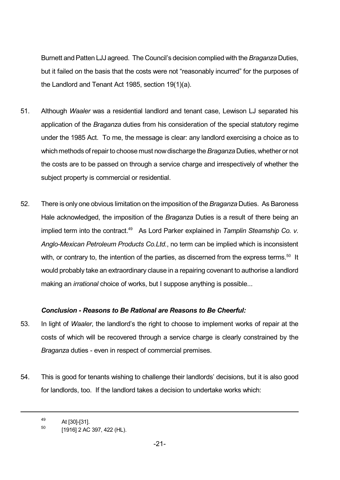Burnett andPatten LJJ agreed. The Council's decision complied with the *Braganza* Duties, but it failed on the basis that the costs were not "reasonably incurred" for the purposes of the Landlord and Tenant Act 1985, section 19(1)(a).

- 51. Although *Waaler* was a residential landlord and tenant case, Lewison LJ separated his application of the *Braganza* duties from his consideration of the special statutory regime under the 1985 Act. To me, the message is clear: any landlord exercising a choice as to which methods of repair to choose must now discharge the *Braganza* Duties, whether or not the costs are to be passed on through a service charge and irrespectively of whether the subject property is commercial or residential.
- 52. There is only one obvious limitation on the imposition of the *Braganza* Duties. As Baroness Hale acknowledged, the imposition of the *Braganza* Duties is a result of there being an implied term into the contract. <sup>49</sup> As Lord Parker explained in *Tamplin Steamship Co. v. Anglo-Mexican Petroleum Products Co.Ltd.*, no term can be implied which is inconsistent with, or contrary to, the intention of the parties, as discerned from the express terms.<sup>50</sup> It would probably take an extraordinary clause in a repairing covenant to authorise a landlord making an *irrational* choice of works, but I suppose anything is possible...

## *Conclusion - Reasons to Be Rational are Reasons to Be Cheerful:*

- 53. In light of *Waaler*, the landlord's the right to choose to implement works of repair at the costs of which will be recovered through a service charge is clearly constrained by the *Braganza* duties - even in respect of commercial premises.
- 54. This is good for tenants wishing to challenge their landlords' decisions, but it is also good for landlords, too. If the landlord takes a decision to undertake works which:

<sup>49</sup> At [30]-[31].

<sup>50</sup> [1916] 2 AC 397, 422 (HL).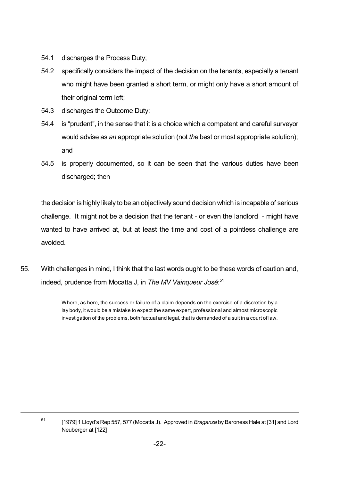- 54.1 discharges the Process Duty;
- 54.2 specifically considers the impact of the decision on the tenants, especially a tenant who might have been granted a short term, or might only have a short amount of their original term left;
- 54.3 discharges the Outcome Duty;
- 54.4 is "prudent", in the sense that it is a choice which a competent and careful surveyor would advise as *an* appropriate solution (not *the* best or most appropriate solution); and
- 54.5 is properly documented, so it can be seen that the various duties have been discharged; then

the decision is highly likely to be an objectively sound decision which is incapable of serious challenge. It might not be a decision that the tenant - or even the landlord - might have wanted to have arrived at, but at least the time and cost of a pointless challenge are avoided.

55. With challenges in mind, I think that the last words ought to be these words of caution and, indeed, prudence from Mocatta J, in *The MV Vainqueur José*: 51

> Where, as here, the success or failure of a claim depends on the exercise of a discretion by a lay body, it would be a mistake to expect the same expert, professional and almost microscopic investigation of the problems, both factual and legal, that is demanded of a suit in a court of law.

<sup>51</sup> [1979] 1 Lloyd's Rep 557, 577 (Mocatta J). Approved in *Braganza* by Baroness Hale at [31] and Lord Neuberger at [122]